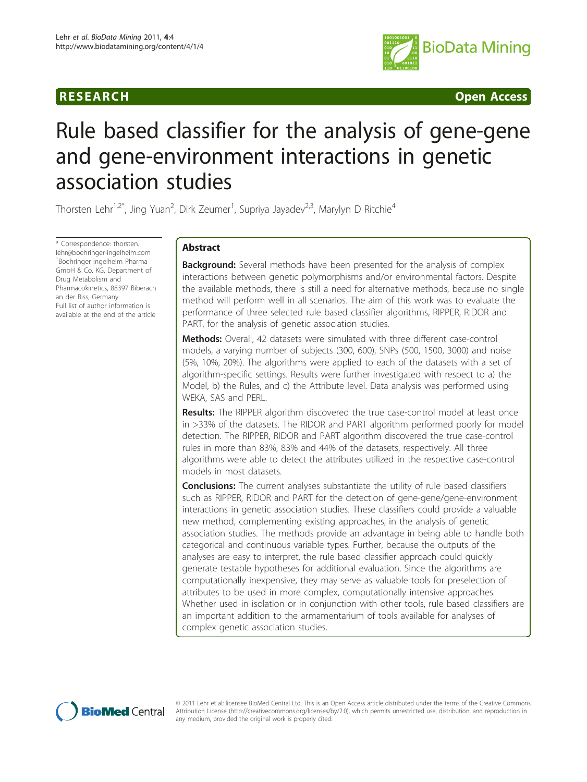

**RESEARCH CONSTRUCTION CONSTRUCTS** 

# Rule based classifier for the analysis of gene-gene and gene-environment interactions in genetic association studies

Thorsten Lehr<sup>1,2\*</sup>, Jing Yuan<sup>2</sup>, Dirk Zeumer<sup>1</sup>, Supriya Jayadev<sup>2,3</sup>, Marylyn D Ritchie<sup>4</sup>

\* Correspondence: [thorsten.](mailto:thorsten.lehr@boehringer-ingelheim.com) [lehr@boehringer-ingelheim.com](mailto:thorsten.lehr@boehringer-ingelheim.com) 1 Boehringer Ingelheim Pharma GmbH & Co. KG, Department of Drug Metabolism and Pharmacokinetics, 88397 Biberach an der Riss, Germany Full list of author information is available at the end of the article

# Abstract

**Background:** Several methods have been presented for the analysis of complex interactions between genetic polymorphisms and/or environmental factors. Despite the available methods, there is still a need for alternative methods, because no single method will perform well in all scenarios. The aim of this work was to evaluate the performance of three selected rule based classifier algorithms, RIPPER, RIDOR and PART, for the analysis of genetic association studies.

Methods: Overall, 42 datasets were simulated with three different case-control models, a varying number of subjects (300, 600), SNPs (500, 1500, 3000) and noise (5%, 10%, 20%). The algorithms were applied to each of the datasets with a set of algorithm-specific settings. Results were further investigated with respect to a) the Model, b) the Rules, and c) the Attribute level. Data analysis was performed using WEKA, SAS and PERL.

Results: The RIPPER algorithm discovered the true case-control model at least once in >33% of the datasets. The RIDOR and PART algorithm performed poorly for model detection. The RIPPER, RIDOR and PART algorithm discovered the true case-control rules in more than 83%, 83% and 44% of the datasets, respectively. All three algorithms were able to detect the attributes utilized in the respective case-control models in most datasets.

**Conclusions:** The current analyses substantiate the utility of rule based classifiers such as RIPPER, RIDOR and PART for the detection of gene-gene/gene-environment interactions in genetic association studies. These classifiers could provide a valuable new method, complementing existing approaches, in the analysis of genetic association studies. The methods provide an advantage in being able to handle both categorical and continuous variable types. Further, because the outputs of the analyses are easy to interpret, the rule based classifier approach could quickly generate testable hypotheses for additional evaluation. Since the algorithms are computationally inexpensive, they may serve as valuable tools for preselection of attributes to be used in more complex, computationally intensive approaches. Whether used in isolation or in conjunction with other tools, rule based classifiers are an important addition to the armamentarium of tools available for analyses of complex genetic association studies.



© 2011 Lehr et al; licensee BioMed Central Ltd. This is an Open Access article distributed under the terms of the Creative Commons Attribution License [\(http://creativecommons.org/licenses/by/2.0](http://creativecommons.org/licenses/by/2.0)), which permits unrestricted use, distribution, and reproduction in any medium, provided the original work is properly cited.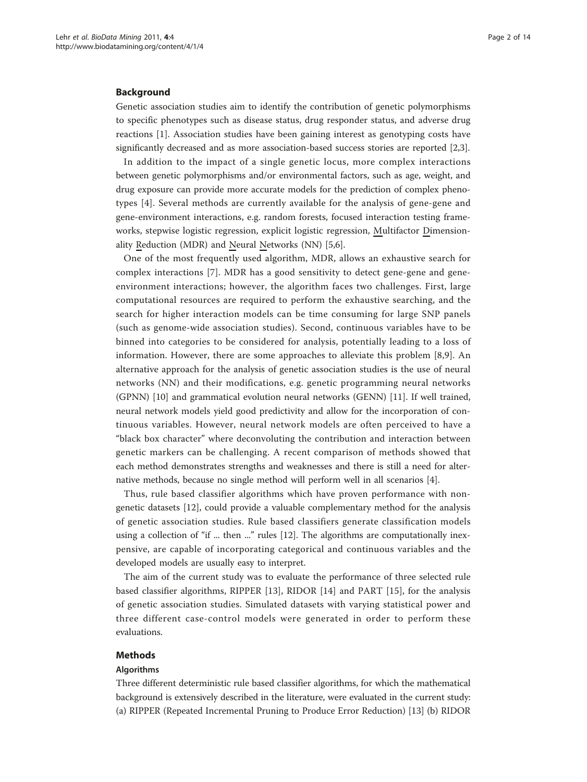# Background

Genetic association studies aim to identify the contribution of genetic polymorphisms to specific phenotypes such as disease status, drug responder status, and adverse drug reactions [[1\]](#page-13-0). Association studies have been gaining interest as genotyping costs have significantly decreased and as more association-based success stories are reported [[2,3\]](#page-13-0).

In addition to the impact of a single genetic locus, more complex interactions between genetic polymorphisms and/or environmental factors, such as age, weight, and drug exposure can provide more accurate models for the prediction of complex phenotypes [[4\]](#page-13-0). Several methods are currently available for the analysis of gene-gene and gene-environment interactions, e.g. random forests, focused interaction testing frameworks, stepwise logistic regression, explicit logistic regression, Multifactor Dimensionality Reduction (MDR) and Neural Networks (NN) [\[5,6](#page-13-0)].

One of the most frequently used algorithm, MDR, allows an exhaustive search for complex interactions [\[7](#page-13-0)]. MDR has a good sensitivity to detect gene-gene and geneenvironment interactions; however, the algorithm faces two challenges. First, large computational resources are required to perform the exhaustive searching, and the search for higher interaction models can be time consuming for large SNP panels (such as genome-wide association studies). Second, continuous variables have to be binned into categories to be considered for analysis, potentially leading to a loss of information. However, there are some approaches to alleviate this problem [[8,9](#page-13-0)]. An alternative approach for the analysis of genetic association studies is the use of neural networks (NN) and their modifications, e.g. genetic programming neural networks (GPNN) [\[10\]](#page-13-0) and grammatical evolution neural networks (GENN) [[11\]](#page-13-0). If well trained, neural network models yield good predictivity and allow for the incorporation of continuous variables. However, neural network models are often perceived to have a "black box character" where deconvoluting the contribution and interaction between genetic markers can be challenging. A recent comparison of methods showed that each method demonstrates strengths and weaknesses and there is still a need for alternative methods, because no single method will perform well in all scenarios [\[4](#page-13-0)].

Thus, rule based classifier algorithms which have proven performance with nongenetic datasets [\[12](#page-13-0)], could provide a valuable complementary method for the analysis of genetic association studies. Rule based classifiers generate classification models using a collection of "if  $\ldots$  then  $\ldots$ " rules [[12](#page-13-0)]. The algorithms are computationally inexpensive, are capable of incorporating categorical and continuous variables and the developed models are usually easy to interpret.

The aim of the current study was to evaluate the performance of three selected rule based classifier algorithms, RIPPER [[13\]](#page-13-0), RIDOR [[14\]](#page-13-0) and PART [\[15](#page-13-0)], for the analysis of genetic association studies. Simulated datasets with varying statistical power and three different case-control models were generated in order to perform these evaluations.

# Methods

#### Algorithms

Three different deterministic rule based classifier algorithms, for which the mathematical background is extensively described in the literature, were evaluated in the current study: (a) RIPPER (Repeated Incremental Pruning to Produce Error Reduction) [[13](#page-13-0)] (b) RIDOR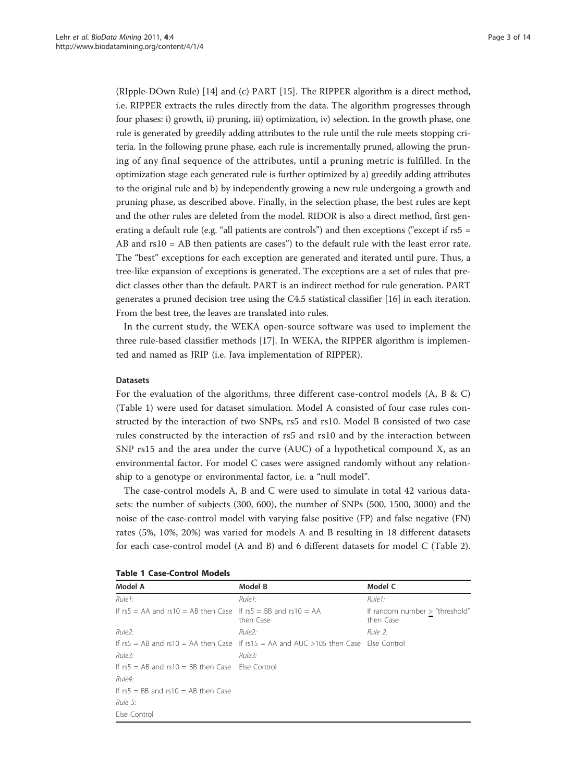(RIpple-DOwn Rule) [[14](#page-13-0)] and (c) PART [[15\]](#page-13-0). The RIPPER algorithm is a direct method, i.e. RIPPER extracts the rules directly from the data. The algorithm progresses through four phases: i) growth, ii) pruning, iii) optimization, iv) selection. In the growth phase, one rule is generated by greedily adding attributes to the rule until the rule meets stopping criteria. In the following prune phase, each rule is incrementally pruned, allowing the pruning of any final sequence of the attributes, until a pruning metric is fulfilled. In the optimization stage each generated rule is further optimized by a) greedily adding attributes to the original rule and b) by independently growing a new rule undergoing a growth and pruning phase, as described above. Finally, in the selection phase, the best rules are kept and the other rules are deleted from the model. RIDOR is also a direct method, first generating a default rule (e.g. "all patients are controls") and then exceptions ("except if  $rs5 =$ AB and  $rs10 = AB$  then patients are cases") to the default rule with the least error rate. The "best" exceptions for each exception are generated and iterated until pure. Thus, a tree-like expansion of exceptions is generated. The exceptions are a set of rules that predict classes other than the default. PART is an indirect method for rule generation. PART generates a pruned decision tree using the C4.5 statistical classifier [[16\]](#page-13-0) in each iteration. From the best tree, the leaves are translated into rules.

In the current study, the WEKA open-source software was used to implement the three rule-based classifier methods [\[17](#page-13-0)]. In WEKA, the RIPPER algorithm is implemented and named as JRIP (i.e. Java implementation of RIPPER).

### Datasets

For the evaluation of the algorithms, three different case-control models (A, B & C) (Table 1) were used for dataset simulation. Model A consisted of four case rules constructed by the interaction of two SNPs, rs5 and rs10. Model B consisted of two case rules constructed by the interaction of rs5 and rs10 and by the interaction between SNP rs15 and the area under the curve (AUC) of a hypothetical compound X, as an environmental factor. For model C cases were assigned randomly without any relationship to a genotype or environmental factor, i.e. a "null model".

The case-control models A, B and C were used to simulate in total 42 various datasets: the number of subjects (300, 600), the number of SNPs (500, 1500, 3000) and the noise of the case-control model with varying false positive (FP) and false negative (FN) rates (5%, 10%, 20%) was varied for models A and B resulting in 18 different datasets for each case-control model (A and B) and 6 different datasets for model C (Table [2](#page-3-0)).

| Model A                                                               | Model B                                                                                       | Model C                                       |
|-----------------------------------------------------------------------|-----------------------------------------------------------------------------------------------|-----------------------------------------------|
| Rule1:                                                                | Rule1:                                                                                        | Rule1:                                        |
| If $rs5 = AA$ and $rs10 = AB$ then Case If $rs5 = BB$ and $rs10 = AA$ | then Case                                                                                     | If random number $>$ "threshold"<br>then Case |
| Rule <sub>2</sub> :                                                   | Rule <sub>2</sub> :                                                                           | Rule 2:                                       |
|                                                                       | If $rs5 = AB$ and $rs10 = AA$ then Case If $rs15 = AA$ and $AUC > 105$ then Case Else Control |                                               |
| Rule3:                                                                | Rule3:                                                                                        |                                               |
| If $rs5 = AB$ and $rs10 = BB$ then Case Else Control                  |                                                                                               |                                               |
| Rule4:                                                                |                                                                                               |                                               |
| If $rs5 = BB$ and $rs10 = AB$ then Case                               |                                                                                               |                                               |
| Rule 5:                                                               |                                                                                               |                                               |
| Flse Control                                                          |                                                                                               |                                               |

| Table 1 Case-Control Models |  |
|-----------------------------|--|
|-----------------------------|--|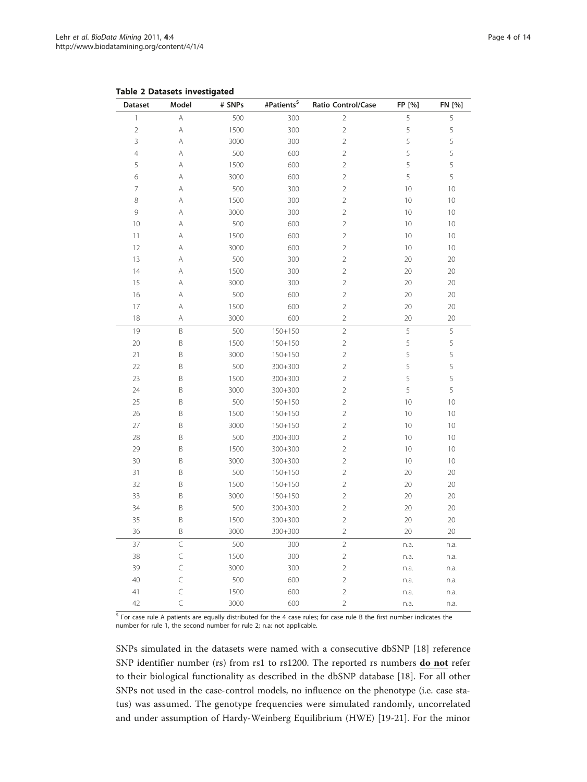| Dataset        | Model        | # SNPs | #Patients <sup>\$</sup> | Ratio Control/Case | FP [%] | FN [%] |
|----------------|--------------|--------|-------------------------|--------------------|--------|--------|
| $\mathbf{1}$   | $\mathsf{A}$ | 500    | 300                     | $\overline{2}$     | 5      | 5      |
| $\overline{2}$ | Α            | 1500   | 300                     | $\overline{2}$     | 5      | 5      |
| $\overline{3}$ | A            | 3000   | 300                     | $\sqrt{2}$         | 5      | 5      |
| $\overline{4}$ | A            | 500    | 600                     | $\overline{2}$     | 5      | 5      |
| 5              | A            | 1500   | 600                     | $\overline{2}$     | 5      | 5      |
| 6              | A            | 3000   | 600                     | $\overline{2}$     | 5      | 5      |
| 7              | Α            | 500    | 300                     | $\overline{2}$     | 10     | 10     |
| 8              | A            | 1500   | 300                     | $\overline{c}$     | $10$   | 10     |
| 9              | A            | 3000   | 300                     | $\overline{2}$     | 10     | 10     |
| 10             | Α            | 500    | 600                     | $\overline{2}$     | 10     | 10     |
| 11             | A            | 1500   | 600                     | $\overline{2}$     | $10$   | 10     |
| 12             | Α            | 3000   | 600                     | $\overline{2}$     | 10     | 10     |
| 13             | Α            | 500    | 300                     | $\overline{c}$     | 20     | 20     |
| 14             | A            | 1500   | 300                     | $\overline{2}$     | 20     | 20     |
| 15             | Α            | 3000   | 300                     | $\overline{2}$     | 20     | 20     |
| 16             | Α            | 500    | 600                     | $\overline{2}$     | 20     | 20     |
| 17             | A            | 1500   | 600                     | $\overline{2}$     | 20     | 20     |
| 18             | A            | 3000   | 600                     | $\overline{2}$     | 20     | 20     |
| 19             | $\mathsf B$  | 500    | $150 + 150$             | $\overline{2}$     | 5      | 5      |
| 20             | B            | 1500   | $150 + 150$             | $\overline{2}$     | 5      | 5      |
| 21             | B            | 3000   | $150 + 150$             | $\overline{2}$     | 5      | 5      |
| 22             | B            | 500    | 300+300                 | $\overline{2}$     | 5      | 5      |
| 23             | Β            | 1500   | $300 + 300$             | $\overline{2}$     | 5      | 5      |
| 24             | B            | 3000   | 300+300                 | $\overline{2}$     | 5      | 5      |
| 25             | Β            | 500    | $150 + 150$             | $\overline{2}$     | 10     | 10     |
| 26             | Β            | 1500   | $150 + 150$             | $\overline{2}$     | 10     | 10     |
| 27             | Β            | 3000   | $150 + 150$             | $\overline{2}$     | 10     | 10     |
| 28             | Β            | 500    | $300 + 300$             | $\overline{c}$     | $10$   | 10     |
| 29             | B            | 1500   | 300+300                 | $\overline{2}$     | 10     | 10     |
| 30             | B            | 3000   | 300+300                 | $\overline{2}$     | 10     | 10     |
| 31             | B            | 500    | $150 + 150$             | $\overline{2}$     | 20     | 20     |
| 32             | Β            | 1500   | $150 + 150$             | $\overline{2}$     | 20     | 20     |
| 33             | B            | 3000   | $150 + 150$             | $\overline{c}$     | 20     | 20     |
| 34             | Β            | 500    | 300+300                 | $\overline{c}$     | 20     | 20     |
| 35             | B            | 1500   | 300+300                 | $\overline{2}$     | 20     | 20     |
| 36             | B            | 3000   | 300+300                 | $\overline{2}$     | 20     | 20     |
| 37             | C            | 500    | 300                     | $\overline{2}$     | n.a.   | n.a.   |
| 38             | $\subset$    | 1500   | 300                     | $\sqrt{2}$         | n.a.   | n.a.   |
| 39             | $\subset$    | 3000   | 300                     | $\overline{2}$     | n.a.   | n.a.   |
| $40\,$         | $\subset$    | 500    | 600                     | $\sqrt{2}$         | n.a.   | n.a.   |
| 41             | $\subset$    | 1500   | 600                     | $\overline{c}$     | n.a.   | n.a.   |
| 42             | C            | 3000   | 600                     | $\overline{2}$     | n.a.   | n.a.   |

# <span id="page-3-0"></span>Table 2 Datasets investigated

 $\frac{1}{2}$  For case rule A patients are equally distributed for the 4 case rules; for case rule B the first number indicates the number for rule 1, the second number for rule 2; n.a: not applicable.

SNPs simulated in the datasets were named with a consecutive dbSNP [[18\]](#page-13-0) reference SNP identifier number (rs) from rs1 to rs1200. The reported rs numbers do not refer to their biological functionality as described in the dbSNP database [[18](#page-13-0)]. For all other SNPs not used in the case-control models, no influence on the phenotype (i.e. case status) was assumed. The genotype frequencies were simulated randomly, uncorrelated and under assumption of Hardy-Weinberg Equilibrium (HWE) [[19-21](#page-13-0)]. For the minor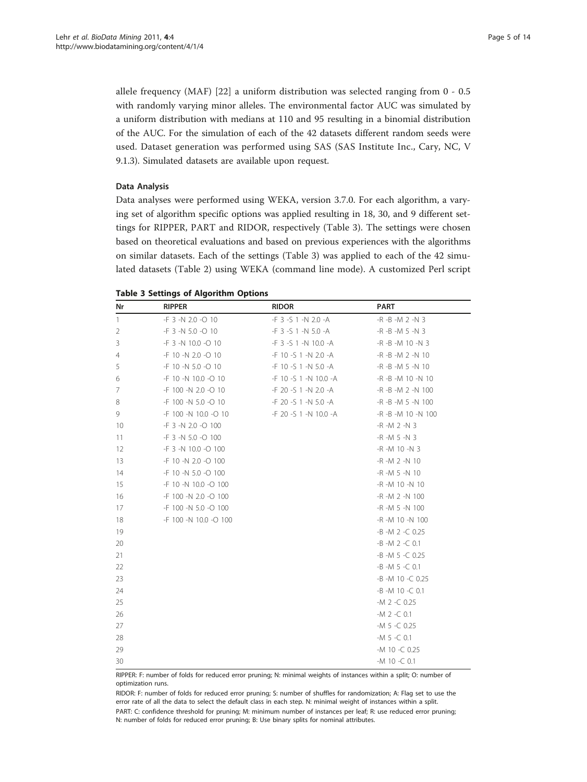<span id="page-4-0"></span>allele frequency (MAF) [[22\]](#page-13-0) a uniform distribution was selected ranging from 0 - 0.5 with randomly varying minor alleles. The environmental factor AUC was simulated by a uniform distribution with medians at 110 and 95 resulting in a binomial distribution of the AUC. For the simulation of each of the 42 datasets different random seeds were used. Dataset generation was performed using SAS (SAS Institute Inc., Cary, NC, V 9.1.3). Simulated datasets are available upon request.

# Data Analysis

Data analyses were performed using WEKA, version 3.7.0. For each algorithm, a varying set of algorithm specific options was applied resulting in 18, 30, and 9 different settings for RIPPER, PART and RIDOR, respectively (Table 3). The settings were chosen based on theoretical evaluations and based on previous experiences with the algorithms on similar datasets. Each of the settings (Table 3) was applied to each of the 42 simulated datasets (Table [2\)](#page-3-0) using WEKA (command line mode). A customized Perl script

|  | <b>Table 3 Settings of Algorithm Options</b> |  |  |  |
|--|----------------------------------------------|--|--|--|
|--|----------------------------------------------|--|--|--|

| Nr             | <b>RIPPER</b>         | <b>RIDOR</b>          | <b>PART</b>            |
|----------------|-----------------------|-----------------------|------------------------|
| $\mathbf{1}$   | -F 3 -N 2.0 -O 10     | -F 3 -S 1 -N 2.0 -A   | $-R - B - M 2 - N 3$   |
| 2              | -F 3 -N 5.0 -O 10     | -F 3 -S 1 -N 5.0 -A   | $-R - B - M 5 - N 3$   |
| 3              | -F 3 -N 10.0 -O 10    | -F 3 -S 1 -N 10.0 -A  | -R -B -M 10 -N 3       |
| $\overline{4}$ | -F 10 -N 2.0 -O 10    | -F 10 -S 1 -N 2.0 -A  | $-R - B - M 2 - N 10$  |
| 5              | -F 10 -N 5.0 -O 10    | -F 10 -S 1 -N 5.0 -A  | $-R - B - M 5 - N 10$  |
| 6              | -F 10 -N 10.0 -O 10   | -F 10 -S 1 -N 10.0 -A | -R -B -M 10 -N 10      |
| 7              | -F 100 -N 2.0 -O 10   | -F 20 -S 1 -N 2.0 -A  | -R -B -M 2 -N 100      |
| 8              | -F 100 -N 5.0 -O 10   | -F 20 -S 1 -N 5.0 -A  | $-R - B - M 5 - N 100$ |
| 9              | -F 100 -N 10.0 -O 10  | -F 20 -S 1 -N 10.0 -A | -R -B -M 10 -N 100     |
| 10             | -F 3 -N 2.0 -O 100    |                       | $-R - M 2 - N 3$       |
| 11             | -F 3 -N 5.0 -O 100    |                       | $-R - M 5 - N 3$       |
| 12             | -F 3 -N 10.0 -O 100   |                       | -R -M 10 -N 3          |
| 13             | -F 10 -N 2.0 -O 100   |                       | -R -M 2 -N 10          |
| 14             | -F 10 -N 5.0 -O 100   |                       | $-R - M 5 - N 10$      |
| 15             | -F 10 -N 10.0 -O 100  |                       | -R -M 10 -N 10         |
| 16             | -F 100 -N 2.0 -O 100  |                       | -R -M 2 -N 100         |
| 17             | -F 100 -N 5.0 -O 100  |                       | -R -M 5 -N 100         |
| 18             | -F 100 -N 10.0 -O 100 |                       | -R -M 10 -N 100        |
| 19             |                       |                       | -B -M 2 -C 0.25        |
| 20             |                       |                       | $-B - M 2 - C 0.1$     |
| 21             |                       |                       | -B -M 5 -C 0.25        |
| 22             |                       |                       | $-B - M 5 - C 0.1$     |
| 23             |                       |                       | -B -M 10 -C 0.25       |
| 24             |                       |                       | -B -M 10 -C 0.1        |
| 25             |                       |                       | -M 2 -C 0.25           |
| 26             |                       |                       | $-M 2 - C 0.1$         |
| 27             |                       |                       | -M 5 -C 0.25           |
| 28             |                       |                       | $-M 5 - C 0.1$         |
| 29             |                       |                       | -M 10 -C 0.25          |
| 30             |                       |                       | -M 10 -C 0.1           |
|                |                       |                       |                        |

RIPPER: F: number of folds for reduced error pruning; N: minimal weights of instances within a split; O: number of optimization runs.

RIDOR: F: number of folds for reduced error pruning; S: number of shuffles for randomization; A: Flag set to use the error rate of all the data to select the default class in each step. N: minimal weight of instances within a split. PART: C: confidence threshold for pruning; M: minimum number of instances per leaf; R: use reduced error pruning; N: number of folds for reduced error pruning; B: Use binary splits for nominal attributes.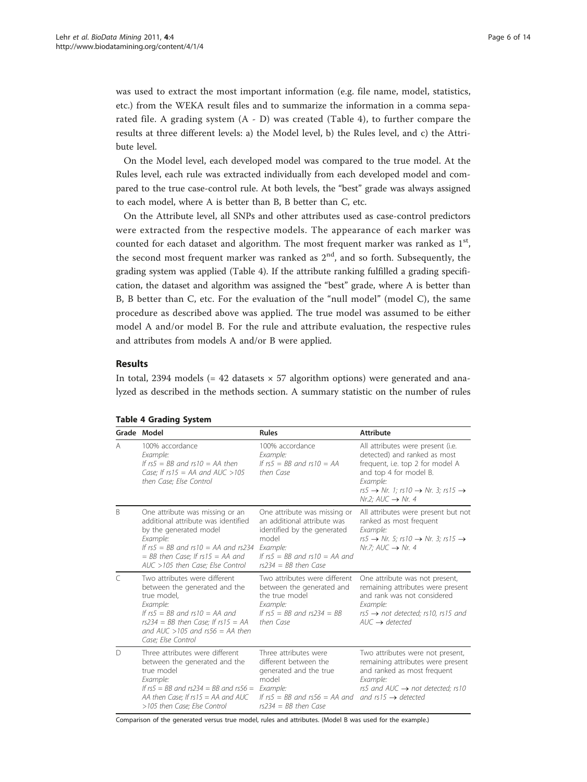was used to extract the most important information (e.g. file name, model, statistics, etc.) from the WEKA result files and to summarize the information in a comma separated file. A grading system (A - D) was created (Table 4), to further compare the results at three different levels: a) the Model level, b) the Rules level, and c) the Attribute level.

On the Model level, each developed model was compared to the true model. At the Rules level, each rule was extracted individually from each developed model and compared to the true case-control rule. At both levels, the "best" grade was always assigned to each model, where A is better than B, B better than C, etc.

On the Attribute level, all SNPs and other attributes used as case-control predictors were extracted from the respective models. The appearance of each marker was counted for each dataset and algorithm. The most frequent marker was ranked as  $1<sup>st</sup>$ , the second most frequent marker was ranked as  $2<sup>nd</sup>$ , and so forth. Subsequently, the grading system was applied (Table 4). If the attribute ranking fulfilled a grading specification, the dataset and algorithm was assigned the "best" grade, where A is better than B, B better than C, etc. For the evaluation of the "null model" (model C), the same procedure as described above was applied. The true model was assumed to be either model A and/or model B. For the rule and attribute evaluation, the respective rules and attributes from models A and/or B were applied.

# Results

In total, 2394 models ( $= 42$  datasets  $\times 57$  algorithm options) were generated and analyzed as described in the methods section. A summary statistic on the number of rules

|           | Grade Model                                                                                                                                                                                                                           | <b>Rules</b>                                                                                                                                                                   | <b>Attribute</b>                                                                                                                                                                                                                                  |
|-----------|---------------------------------------------------------------------------------------------------------------------------------------------------------------------------------------------------------------------------------------|--------------------------------------------------------------------------------------------------------------------------------------------------------------------------------|---------------------------------------------------------------------------------------------------------------------------------------------------------------------------------------------------------------------------------------------------|
| A         | 100% accordance<br>Example:<br>If $rs5 = BB$ and $rs10 = AA$ then<br>Case: If $rs15 = AA$ and $AUC > 105$<br>then Case; Else Control                                                                                                  | 100% accordance<br>Example:<br>If $rs5 = BB$ and $rs10 = AA$<br>then Case                                                                                                      | All attributes were present (i.e.<br>detected) and ranked as most<br>frequent, i.e. top 2 for model A<br>and top 4 for model B.<br>Example:<br>$rs5 \rightarrow Nr. 1; rs10 \rightarrow Nr. 3; rs15 \rightarrow$<br>Nr.2; $AUC \rightarrow Nr. 4$ |
| B         | One attribute was missing or an<br>additional attribute was identified<br>by the generated model<br>Example:<br>If $rs5 = BB$ and $rs10 = AA$ and $rs234$<br>$=$ BB then Case; If $rs15 = AA$ and<br>AUC >105 then Case; Else Control | One attribute was missing or<br>an additional attribute was<br>identified by the generated<br>model<br>Example:<br>If $rs5 = BB$ and $rs10 = AA$ and<br>$rs234 = BB$ then Case | All attributes were present but not<br>ranked as most frequent<br>Example:<br>$rs5 \rightarrow Nr. 5$ ; $rs10 \rightarrow Nr. 3$ ; $rs15 \rightarrow$<br>Nr.7; AUC $\rightarrow$ Nr. 4                                                            |
| $\subset$ | Two attributes were different<br>between the generated and the<br>true model.<br>Example:<br>If $rs5 = BB$ and $rs10 = AA$ and<br>$rs234 = BB$ then Case; If $rs15 = AA$<br>and AUC >105 and $rs56 = AA$ then<br>Case; Else Control   | Two attributes were different<br>between the generated and<br>the true model<br>Example:<br>If $rs5 = BB$ and $rs234 = BB$<br>then Case                                        | One attribute was not present,<br>remaining attributes were present<br>and rank was not considered<br>Example:<br>$rs5 \rightarrow not detected; rs10, rs15 and$<br>$AUC \rightarrow detected$                                                    |
| D         | Three attributes were different<br>between the generated and the<br>true model<br>Example:<br>If $rs5 = BB$ and $rs234 = BB$ and $rs56 =$<br>AA then Case; If $rs15 = AA$ and $AUC$<br>>105 then Case; Else Control                   | Three attributes were<br>different between the<br>generated and the true<br>model<br>Example:<br>If $rs5 = BB$ and $rs56 = AA$ and<br>$rs234 = BB$ then Case                   | Two attributes were not present,<br>remaining attributes were present<br>and ranked as most frequent<br>Example:<br>rs5 and AUC $\rightarrow$ not detected; rs10<br>and $rs15 \rightarrow$ detected                                               |

#### Table 4 Grading System

Comparison of the generated versus true model, rules and attributes. (Model B was used for the example.)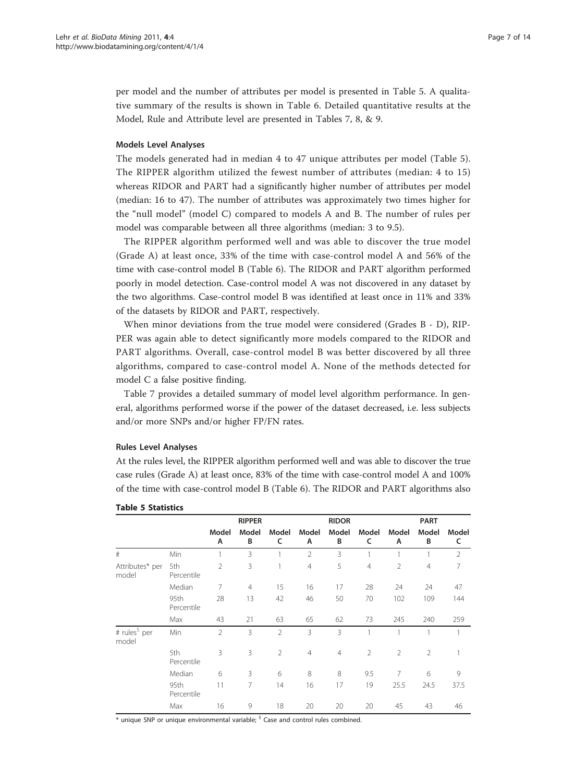per model and the number of attributes per model is presented in Table 5. A qualitative summary of the results is shown in Table [6.](#page-7-0) Detailed quantitative results at the Model, Rule and Attribute level are presented in Tables [7](#page-8-0), [8,](#page-9-0) & [9](#page-10-0).

# Models Level Analyses

The models generated had in median 4 to 47 unique attributes per model (Table 5). The RIPPER algorithm utilized the fewest number of attributes (median: 4 to 15) whereas RIDOR and PART had a significantly higher number of attributes per model (median: 16 to 47). The number of attributes was approximately two times higher for the "null model" (model C) compared to models A and B. The number of rules per model was comparable between all three algorithms (median: 3 to 9.5).

The RIPPER algorithm performed well and was able to discover the true model (Grade A) at least once, 33% of the time with case-control model A and 56% of the time with case-control model B (Table [6\)](#page-7-0). The RIDOR and PART algorithm performed poorly in model detection. Case-control model A was not discovered in any dataset by the two algorithms. Case-control model B was identified at least once in 11% and 33% of the datasets by RIDOR and PART, respectively.

When minor deviations from the true model were considered (Grades B - D), RIP-PER was again able to detect significantly more models compared to the RIDOR and PART algorithms. Overall, case-control model B was better discovered by all three algorithms, compared to case-control model A. None of the methods detected for model C a false positive finding.

Table [7](#page-8-0) provides a detailed summary of model level algorithm performance. In general, algorithms performed worse if the power of the dataset decreased, i.e. less subjects and/or more SNPs and/or higher FP/FN rates.

# Rules Level Analyses

At the rules level, the RIPPER algorithm performed well and was able to discover the true case rules (Grade A) at least once, 83% of the time with case-control model A and 100% of the time with case-control model B (Table [6\)](#page-7-0). The RIDOR and PART algorithms also

|                                    |                    |                | <b>RIPPER</b>  |                |                | <b>RIDOR</b>   |                |                | <b>PART</b>    |                |
|------------------------------------|--------------------|----------------|----------------|----------------|----------------|----------------|----------------|----------------|----------------|----------------|
|                                    |                    | Model<br>A     | Model<br>В     | Model<br>c     | Model<br>А     | Model<br>В     | Model<br>c     | Model<br>A     | Model<br>B     | Model<br>c     |
| #                                  | Min                | 1              | 3              | 1              | $\overline{2}$ | 3              | 1              | 1              | 1              | $\overline{2}$ |
| Attributes* per<br>model           | 5th<br>Percentile  | $\overline{2}$ | 3              | 1              | $\overline{4}$ | 5              | $\overline{4}$ | $\overline{2}$ | $\overline{4}$ | 7              |
|                                    | Median             | $\overline{7}$ | $\overline{4}$ | 15             | 16             | 17             | 28             | 24             | 24             | 47             |
|                                    | 95th<br>Percentile | 28             | 13             | 42             | 46             | 50             | 70             | 102            | 109            | 144            |
|                                    | Max                | 43             | 21             | 63             | 65             | 62             | 73             | 245            | 240            | 259            |
| # rules <sup>\$</sup> per<br>model | Min                | $\overline{2}$ | 3              | $\mathcal{P}$  | 3              | 3              | 1              | 1              | 1              | 1              |
|                                    | 5th<br>Percentile  | 3              | 3              | $\overline{2}$ | $\overline{4}$ | $\overline{4}$ | $\overline{2}$ | $\overline{2}$ | $\overline{2}$ | 1              |
|                                    | Median             | 6              | 3              | 6              | 8              | 8              | 9.5            | $\overline{7}$ | 6              | 9              |
|                                    | 95th<br>Percentile | 11             | 7              | 14             | 16             | 17             | 19             | 25.5           | 24.5           | 37.5           |
|                                    | Max                | 16             | 9              | 18             | 20             | 20             | 20             | 45             | 43             | 46             |

### Table 5 Statistics

\* unique SNP or unique environmental variable; \$ Case and control rules combined.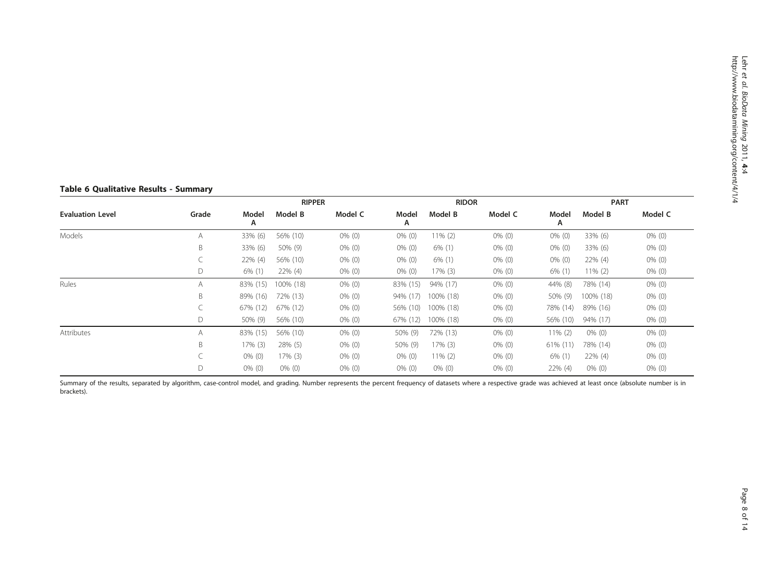# <span id="page-7-0"></span>Table 6 Qualitative Results - Summary

|                         |              |            | <b>RIPPER</b> |           |            | <b>RIDOR</b> |           |            | <b>PART</b> |           |
|-------------------------|--------------|------------|---------------|-----------|------------|--------------|-----------|------------|-------------|-----------|
| <b>Evaluation Level</b> | Grade        | Model<br>A | Model B       | Model C   | Model<br>A | Model B      | Model C   | Model<br>А | Model B     | Model C   |
| <b>Models</b>           | A            | 33% (6)    | 56% (10)      | $0\%$ (0) | $0\%$ (0)  | $11\%$ (2)   | $0\%$ (0) | $0\%$ (0)  | 33% (6)     | $0\%$ (0) |
|                         | B            | 33% (6)    | 50% (9)       | $0\%$ (0) | $0\%$ (0)  | $6\%$ (1)    | $0\%$ (0) | $0\%$ (0)  | 33% (6)     | $0\%$ (0) |
|                         |              | $22\%$ (4) | 56% (10)      | $0\%$ (0) | $0\%$ (0)  | $6\%$ (1)    | $0\%$ (0) | $0\%$ (0)  | $22\%$ (4)  | $0\%$ (0) |
|                         | D            | $6\%$ (1)  | $22\%$ (4)    | $0\%$ (0) | $0\%$ (0)  | $17\%$ (3)   | $0\%$ (0) | $6\%$ (1)  | $11\%$ (2)  | $0\%$ (0) |
| Rules                   | A            | 83% (15)   | 100% (18)     | $0\%$ (0) | 83% (15)   | 94% (17)     | $0\%$ (0) | 44% (8)    | 78% (14)    | $0\%$ (0) |
|                         | B            | 89% (16)   | 72% (13)      | $0\%$ (0) | 94% (17)   | 100% (18)    | $0\%$ (0) | 50% (9)    | 100% (18)   | $0\%$ (0) |
|                         |              | 67% (12)   | 67% (12)      | $0\%$ (0) | 56% (10)   | 100% (18)    | $0\%$ (0) | 78% (14)   | 89% (16)    | $0\%$ (0) |
|                         | D            | 50% (9)    | 56% (10)      | $0\%$ (0) | 67% (12)   | 100% (18)    | $0\%$ (0) | 56% (10)   | 94% (17)    | $0\%$ (0) |
| Attributes              | A            | 83% (15)   | 56% (10)      | $0\%$ (0) | 50% (9)    | 72% (13)     | $0\%$ (0) | $11\%$ (2) | $0\%$ (0)   | $0\%$ (0) |
|                         | <sub>B</sub> | 17% (3)    | 28% (5)       | $0\%$ (0) | 50% (9)    | 17% (3)      | $0\%$ (0) | 61% (11)   | 78% (14)    | $0\%$ (0) |
|                         |              | $0\%$ (0)  | 17% (3)       | $0\%$ (0) | $0\%$ (0)  | $11\%$ (2)   | $0\%$ (0) | $6\%$ (1)  | 22% (4)     | $0\%$ (0) |
|                         | D            | $0\%$ (0)  | $0\%$ (0)     | $0\%$ (0) | $0\%$ (0)  | $0\%$ (0)    | $0\%$ (0) | $22\%$ (4) | $0\%$ (0)   | $0\%$ (0) |

Summary of the results, separated by algorithm, case-control model, and grading. Number represents the percent frequency of datasets where a respective grade was achieved at least once (absolute number is in brackets).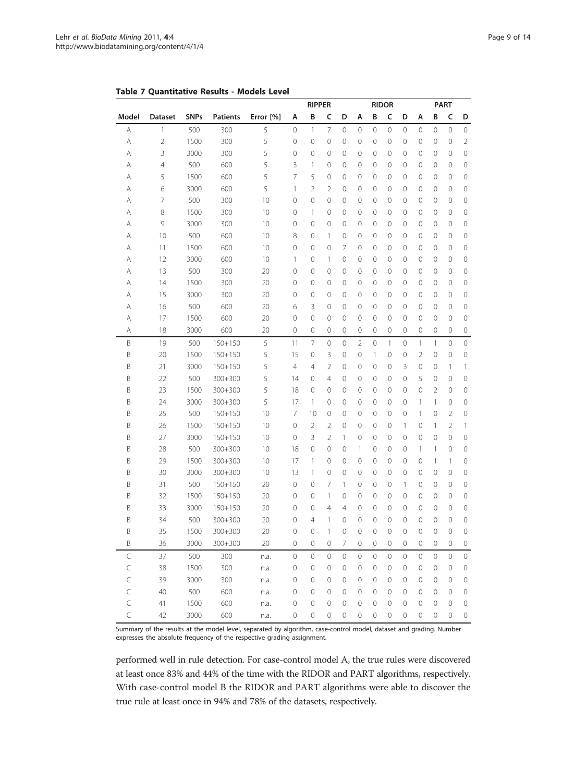|           |                |             |                 |           |                | <b>RIPPER</b>  |              |   |   |              | <b>RIDOR</b> |   |   |   | <b>PART</b> |              |
|-----------|----------------|-------------|-----------------|-----------|----------------|----------------|--------------|---|---|--------------|--------------|---|---|---|-------------|--------------|
| Model     | <b>Dataset</b> | <b>SNPs</b> | <b>Patients</b> | Error [%] | A              | В              | c            | D | A | В            | $\mathsf C$  | D | A | В | c           | D            |
| A         | 1              | 500         | 300             | 5         | $\mathbf{0}$   | $\mathbb{1}$   | 7            | 0 | 0 | 0            | 0            | 0 | 0 | 0 | 0           | $\circ$      |
| A         | $\overline{2}$ | 1500        | 300             | 5         | $\circ$        | 0              | 0            | 0 | 0 | 0            | 0            | 0 | 0 | 0 | 0           | 2            |
| A         | 3              | 3000        | 300             | 5         | $\circ$        | 0              | 0            | 0 | 0 | 0            | 0            | 0 | 0 | 0 | 0           | 0            |
| A         | $\overline{4}$ | 500         | 600             | 5         | 3              | $\mathbf{1}$   | 0            | 0 | 0 | 0            | 0            | 0 | 0 | 0 | 0           | 0            |
| A         | 5              | 1500        | 600             | 5         | 7              | 5              | 0            | 0 | 0 | 0            | 0            | 0 | 0 | 0 | 0           | 0            |
| A         | 6              | 3000        | 600             | 5         | 1              | 2              | 2            | 0 | 0 | 0            | 0            | 0 | 0 | 0 | 0           | 0            |
| A         | 7              | 500         | 300             | 10        | $\mathbf{0}$   | 0              | 0            | 0 | 0 | 0            | 0            | 0 | 0 | 0 | 0           | 0            |
| A         | 8              | 1500        | 300             | 10        | $\circ$        | $\mathbf{1}$   | 0            | 0 | 0 | 0            | 0            | 0 | 0 | 0 | 0           | 0            |
| A         | 9              | 3000        | 300             | 10        | 0              | 0              | 0            | 0 | 0 | 0            | 0            | 0 | 0 | 0 | 0           | 0            |
| A         | 10             | 500         | 600             | 10        | 8              | 0              | 1            | 0 | 0 | 0            | 0            | 0 | 0 | 0 | 0           | 0            |
| A         | 11             | 1500        | 600             | 10        | $\circ$        | 0              | 0            | 7 | 0 | 0            | 0            | 0 | 0 | 0 | 0           | 0            |
| A         | 12             | 3000        | 600             | 10        | 1              | 0              | $\mathbf{1}$ | 0 | 0 | 0            | 0            | 0 | 0 | 0 | 0           | 0            |
| A         | 13             | 500         | 300             | 20        | $\circ$        | 0              | 0            | 0 | 0 | 0            | 0            | 0 | 0 | 0 | 0           | 0            |
| A         | 14             | 1500        | 300             | 20        | $\circ$        | 0              | 0            | 0 | 0 | 0            | 0            | 0 | 0 | 0 | 0           | 0            |
| A         | 15             | 3000        | 300             | 20        | $\circ$        | 0              | 0            | 0 | 0 | 0            | 0            | 0 | 0 | 0 | 0           | 0            |
| A         | 16             | 500         | 600             | 20        | 6              | 3              | 0            | 0 | 0 | 0            | 0            | 0 | 0 | 0 | 0           | 0            |
| A         | 17             | 1500        | 600             | 20        | $\circ$        | 0              | 0            | 0 | 0 | 0            | 0            | 0 | 0 | 0 | 0           | 0            |
| A         | 18             | 3000        | 600             | 20        | 0              | 0              | 0            | 0 | 0 | 0            | 0            | 0 | 0 | 0 | 0           | 0            |
| B         | 19             | 500         | $150 + 150$     | 5         | 11             | 7              | 0            | 0 | 2 | 0            | 1            | 0 | 1 | 1 | 0           | $\circ$      |
| B         | 20             | 1500        | $150 + 150$     | 5         | 15             | 0              | 3            | 0 | 0 | $\mathbf{1}$ | 0            | 0 | 2 | 0 | 0           | 0            |
| B         | 21             | 3000        | $150 + 150$     | 5         | $\overline{4}$ | $\overline{4}$ | 2            | 0 | 0 | 0            | 0            | 3 | 0 | 0 | 1           | 1            |
| B         | 22             | 500         | $300 + 300$     | 5         | 14             | 0              | 4            | 0 | 0 | 0            | 0            | 0 | 5 | 0 | 0           | 0            |
| B         | 23             | 1500        | $300 + 300$     | 5         | 18             | 0              | 0            | 0 | 0 | 0            | 0            | 0 | 0 | 2 | 0           | 0            |
| B         | 24             | 3000        | $300 + 300$     | 5         | 17             | $\mathbf{1}$   | 0            | 0 | 0 | 0            | 0            | 0 | 1 | 1 | 0           | $\circ$      |
| B         | 25             | 500         | $150 + 150$     | 10        | 7              | 10             | 0            | 0 | 0 | 0            | 0            | 0 | 1 | 0 | 2           | $\circ$      |
| B         | 26             | 1500        | $150 + 150$     | 10        | $\circ$        | 2              | 2            | 0 | 0 | 0            | 0            | 1 | 0 | 1 | 2           | $\mathbb{1}$ |
| B         | 27             | 3000        | $150 + 150$     | 10        | $\mathbf{0}$   | 3              | 2            | 1 | 0 | 0            | 0            | 0 | 0 | 0 | 0           | 0            |
| B         | 28             | 500         | $300 + 300$     | 10        | 18             | 0              | 0            | 0 | 1 | 0            | 0            | 0 | 1 | 1 | 0           | $\circ$      |
| B         | 29             | 1500        | $300 + 300$     | 10        | 17             | $\mathbf{1}$   | 0            | 0 | 0 | 0            | 0            | 0 | 0 | 1 | 1           | 0            |
| B         | 30             | 3000        | $300 + 300$     | 10        | 13             | $\mathbf{1}$   | 0            | 0 | 0 | 0            | 0            | 0 | 0 | 0 | 0           | 0            |
| B         | 31             | 500         | $150 + 150$     | 20        | $\circ$        | 0              | 7            | 1 | 0 | 0            | 0            | 1 | 0 | 0 | 0           | 0            |
| B         | 32             | 1500        | $150 + 150$     | 20        | $\circ$        | 0              | $\mathbf{1}$ | 0 | 0 | 0            | 0            | 0 | 0 | 0 | 0           | 0            |
| B         | 33             | 3000        | $150 + 150$     | 20        | 0              | 0              | 4            | 4 | 0 | 0            | 0            | 0 | 0 | 0 | 0           | 0            |
| B         | 34             | 500         | $300 + 300$     | 20        | 0              | 4              | 1            | 0 | 0 | 0            | 0            | 0 | 0 | 0 | 0           | 0            |
| Β         | 35             | 1500        | 300+300         | 20        | 0              | 0              | 1            | 0 | 0 | 0            | 0            | 0 | 0 | 0 | 0           | 0            |
| Β         | 36             | 3000        | 300+300         | 20        | 0              | 0              | 0            | 7 | 0 | 0            | 0            | 0 | 0 | 0 | 0           | 0            |
| $\subset$ | 37             | 500         | 300             | n.a.      | $\circ$        | 0              | 0            | 0 | 0 | 0            | 0            | 0 | 0 | 0 | 0           | 0            |
| $\subset$ | 38             | 1500        | 300             | n.a.      | $\circ$        | 0              | 0            | 0 | 0 | 0            | 0            | 0 | 0 | 0 | 0           | 0            |
| C         | 39             | 3000        | 300             | n.a.      | $\circ$        | 0              | 0            | 0 | 0 | 0            | 0            | 0 | 0 | 0 | 0           | 0            |
| $\subset$ | 40             | 500         | 600             | n.a.      | 0              | 0              | 0            | 0 | 0 | 0            | 0            | 0 | 0 | 0 | 0           | 0            |
| $\subset$ | 41             | 1500        | 600             | n.a.      | $\circ$        | 0              | 0            | 0 | 0 | 0            | 0            | 0 | 0 | 0 | 0           | 0            |
| $\subset$ | 42             | 3000        | 600             | n.a.      | 0              | 0              | 0            | 0 | 0 | 0            | 0            | 0 | 0 | 0 | $\circ$     | 0            |

<span id="page-8-0"></span>Table 7 Quantitative Results - Models Level

Summary of the results at the model level, separated by algorithm, case-control model, dataset and grading. Number expresses the absolute frequency of the respective grading assignment.

performed well in rule detection. For case-control model A, the true rules were discovered at least once 83% and 44% of the time with the RIDOR and PART algorithms, respectively. With case-control model B the RIDOR and PART algorithms were able to discover the true rule at least once in 94% and 78% of the datasets, respectively.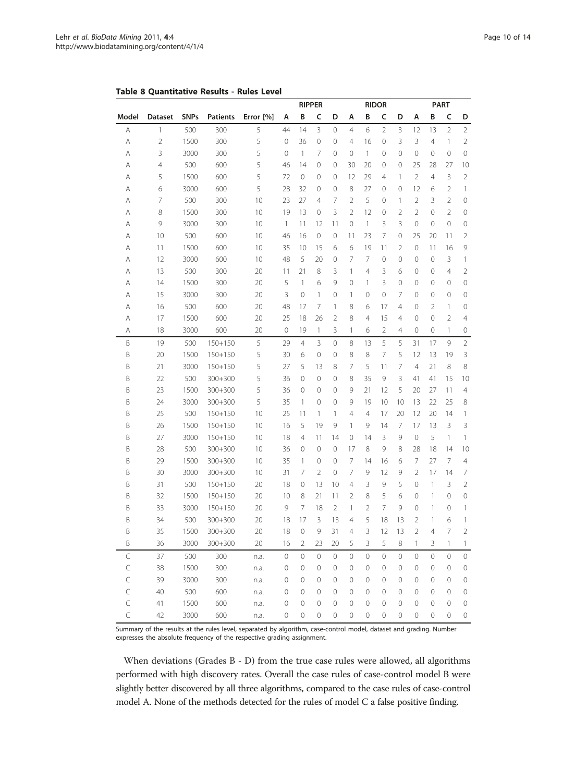<span id="page-9-0"></span>

|              |                |             |             |           |              |              | <b>RIPPER</b>  |                     |                |                | <b>RIDOR</b>   |              |                |                | <b>PART</b>    |                |
|--------------|----------------|-------------|-------------|-----------|--------------|--------------|----------------|---------------------|----------------|----------------|----------------|--------------|----------------|----------------|----------------|----------------|
| <b>Model</b> | <b>Dataset</b> | <b>SNPs</b> | Patients    | Error [%] | А            | В            | c              | D                   | Α              | В              | C              | D            | Α              | B              | C              | D              |
| $\mathsf{A}$ | $\mathbf{1}$   | 500         | 300         | 5         | 44           | 14           | 3              | 0                   | $\overline{4}$ | 6              | $\overline{2}$ | 3            | 12             | 13             | $\overline{2}$ | $\overline{2}$ |
| А            | $\overline{2}$ | 1500        | 300         | 5         | $\circ$      | 36           | 0              | 0                   | $\overline{4}$ | 16             | $\circ$        | 3            | 3              | $\overline{4}$ | $\mathbf{1}$   | $\overline{2}$ |
| Α            | 3              | 3000        | 300         | 5         | $\mathbf{0}$ | $\mathbf{1}$ | 7              | 0                   | 0              | $\mathbf{1}$   | $\mathbf{0}$   | 0            | 0              | 0              | 0              | $\circ$        |
| Α            | 4              | 500         | 600         | 5         | 46           | 14           | 0              | 0                   | 30             | 20             | 0              | 0            | 25             | 28             | 27             | 10             |
| Α            | 5              | 1500        | 600         | 5         | 72           | 0            | 0              | 0                   | 12             | 29             | $\overline{4}$ | $\mathbf{1}$ | $\overline{2}$ | $\overline{4}$ | 3              | $\sqrt{2}$     |
| Α            | 6              | 3000        | 600         | 5         | 28           | 32           | 0              | 0                   | 8              | 27             | $\circ$        | 0            | 12             | 6              | $\overline{2}$ | $\mathbf{1}$   |
| Α            | 7              | 500         | 300         | 10        | 23           | 27           | $\overline{4}$ | 7                   | 2              | 5              | $\circ$        | $\mathbf{1}$ | $\overline{2}$ | 3              | $\overline{2}$ | 0              |
| Α            | 8              | 1500        | 300         | 10        | 19           | 13           | 0              | 3                   | $\overline{2}$ | 12             | 0              | 2            | 2              | $\mathbf{0}$   | $\overline{2}$ | 0              |
| Α            | 9              | 3000        | 300         | 10        | $\mathbf{1}$ | 11           | 12             | 11                  | 0              | $\mathbf{1}$   | 3              | 3            | 0              | $\mathbf{0}$   | 0              | 0              |
| Α            | 10             | 500         | 600         | 10        | 46           | 16           | 0              | 0                   | 11             | 23             | 7              | 0            | 25             | 20             | 11             | $\overline{2}$ |
| Α            | 11             | 1500        | 600         | 10        | 35           | 10           | 15             | 6                   | 6              | 19             | 11             | 2            | 0              | 11             | 16             | 9              |
| A            | 12             | 3000        | 600         | 10        | 48           | 5            | 20             | 0                   | 7              | 7              | $\circ$        | 0            | 0              | 0              | 3              | $\mathbf{1}$   |
| Α            | 13             | 500         | 300         | 20        | 11           | 21           | 8              | 3                   | $\mathbf{1}$   | 4              | 3              | 6            | 0              | $\mathbf{0}$   | 4              | $\overline{2}$ |
| Α            | 14             | 1500        | 300         | 20        | 5            | 1            | 6              | 9                   | 0              | 1              | 3              | 0            | 0              | $\mathbf{0}$   | 0              | 0              |
| Α            | 15             | 3000        | 300         | 20        | 3            | 0            | 1              | 0                   | $\mathbf{1}$   | 0              | $\circ$        | 7            | 0              | $\mathbf{0}$   | 0              | 0              |
| Α            | 16             | 500         | 600         | 20        | 48           | 17           | 7              | 1                   | 8              | 6              | 17             | 4            | 0              | 2              | $\mathbf{1}$   | $\circ$        |
| Α            | 17             | 1500        | 600         | 20        | 25           | 18           | 26             | 2                   | 8              | 4              | 15             | 4            | 0              | $\mathbf{0}$   | 2              | $\overline{4}$ |
| Α            | 18             | 3000        | 600         | 20        | 0            | 19           | 1              | 3                   | 1              | 6              | 2              | 4            | 0              | 0              | $\mathbb{1}$   | 0              |
| B            | 19             | 500         | $150 + 150$ | 5         | 29           | 4            | 3              | 0                   | 8              | 13             | 5              | 5            | 31             | 17             | 9              | $\overline{2}$ |
| B            | 20             | 1500        | $150 + 150$ | 5         | 30           | 6            | 0              | 0                   | 8              | 8              | 7              | 5            | 12             | 13             | 19             | 3              |
| B            | 21             | 3000        | $150 + 150$ | 5         | 27           | 5            | 13             | 8                   | 7              | 5              | 11             | 7            | $\overline{4}$ | 21             | 8              | 8              |
| B            | 22             | 500         | $300 + 300$ | 5         | 36           | 0            | 0              | 0                   | 8              | 35             | 9              | 3            | 41             | 41             | 15             | 10             |
| B            | 23             | 1500        | $300 + 300$ | 5         | 36           | 0            | 0              | 0                   | 9              | 21             | 12             | 5            | 20             | 27             | 11             | $\overline{4}$ |
| B            | 24             | 3000        | $300 + 300$ | 5         | 35           | 1            | 0              | 0                   | 9              | 19             | 10             | 10           | 13             | 22             | 25             | 8              |
| B            | 25             | 500         | $150 + 150$ | 10        | 25           | 11           | 1              | 1                   | 4              | $\overline{4}$ | 17             | 20           | 12             | 20             | 14             | $\mathbb{1}$   |
| B            | 26             | 1500        | $150 + 150$ | 10        | 16           | 5            | 19             | 9                   | 1              | 9              | 14             | 7            | 17             | 13             | 3              | 3              |
| B            | 27             | 3000        | $150 + 150$ | 10        | 18           | 4            | 11             | 14                  | 0              | 14             | $\mathsf 3$    | 9            | 0              | 5              | $\mathbb{1}$   | $\mathbb{1}$   |
| B            | 28             | 500         | $300 + 300$ | 10        | 36           | 0            | 0              | 0                   | 17             | 8              | 9              | 8            | 28             | 18             | 14             | 10             |
| B            | 29             | 1500        | $300 + 300$ | 10        | 35           | 1            | 0              | 0                   | 7              | 14             | 16             | 6            | 7              | 27             | 7              | $\overline{4}$ |
| B            | 30             | 3000        | $300 + 300$ | 10        | 31           | 7            | $\overline{2}$ | 0                   | 7              | 9              | 12             | 9            | 2              | 17             | 14             | $\overline{7}$ |
| B            | 31             | 500         | $150 + 150$ | 20        | 18           | 0            | 13             | 10                  | 4              | 3              | 9              | 5            | 0              | 1              | 3              | $\overline{2}$ |
| B            | 32             | 1500        | $150 + 150$ | 20        | 10           | 8            | 21             | 11                  | $\overline{2}$ | 8              | 5              | 6            | 0              | 1              | 0              | 0              |
| B            | 33             | 3000        | $150 + 150$ | 20        | 9            | 7            | 18             | 2                   | 1              | 2              | 7              | 9            | 0              | 1              | 0              | $\mathbf{1}$   |
| B            | 34             | 500         | $300 + 300$ | 20        | 18           | 17           | 3              | 13                  | 4              | 5              | 18             | 13           | 2              | 1              | 6              | $\mathbf{1}$   |
| B            | 35             | 1500        | $300 + 300$ | 20        | 18           | 0            | 9              | 31                  | $\overline{4}$ | 3              | 12             | 13           | $\overline{2}$ | $\overline{4}$ | 7              | $\overline{2}$ |
| B            | 36             | 3000        | $300 + 300$ | 20        | 16           | 2            | 23             | 20                  | 5              | 3              | 5              | 8            | 1              | 3              | 1              |                |
| $\subset$    | 37             | 500         | 300         | n.a.      | 0            | 0            | $\mathbb O$    | $\mathsf{O}\xspace$ | 0              | 0              | $\mathbf 0$    | $\mathbf 0$  | 0              | 0              | 0              | 0              |
| $\subset$    | 38             | 1500        | 300         | n.a.      | $\circ$      | 0            | 0              | 0                   | 0              | 0              | $\circ$        | 0            | 0              | 0              | 0              | 0              |
| C            | 39             | 3000        | 300         | n.a.      | 0            | 0            | 0              | 0                   | 0              | 0              | $\circ$        | 0            | 0              | 0              | 0              | $\circ$        |
| C            | 40             | 500         | 600         | n.a.      | 0            | 0            | 0              | 0                   | 0              | 0              | $\circ$        | 0            | 0              | 0              | 0              | $\circ$        |
| С            | 41             | 1500        | 600         | n.a.      | 0            | 0            | 0              | 0                   | 0              | 0              | $\circ$        | 0            | 0              | 0              | 0              | $\circ$        |
| $\subset$    | 42             | 3000        | 600         | n.a.      | 0            | 0            | 0              | 0                   | 0              | 0              | $\circ$        | 0            | 0              | 0              | 0              | 0              |

Summary of the results at the rules level, separated by algorithm, case-control model, dataset and grading. Number expresses the absolute frequency of the respective grading assignment.

When deviations (Grades B - D) from the true case rules were allowed, all algorithms performed with high discovery rates. Overall the case rules of case-control model B were slightly better discovered by all three algorithms, compared to the case rules of case-control model A. None of the methods detected for the rules of model C a false positive finding.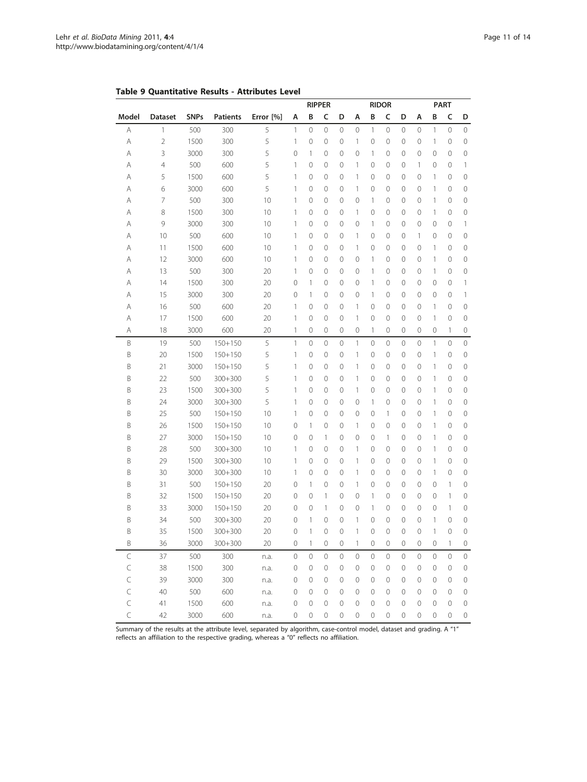<span id="page-10-0"></span>

| Table 9 Quantitative Results - Attributes Level |  |  |  |  |  |
|-------------------------------------------------|--|--|--|--|--|
|-------------------------------------------------|--|--|--|--|--|

|              |                |             |                 |           | <b>RIPPER</b> |              |         |          |              | <b>RIDOR</b>   |                     |         |         | <b>PART</b>  |             |                     |  |
|--------------|----------------|-------------|-----------------|-----------|---------------|--------------|---------|----------|--------------|----------------|---------------------|---------|---------|--------------|-------------|---------------------|--|
| Model        | <b>Dataset</b> | <b>SNPs</b> | <b>Patients</b> | Error [%] | А             | В            | C       | D        | Α            | В              | C                   | D       | Α       | В            | C           | D                   |  |
| $\mathsf{A}$ | $\mathbb{1}$   | 500         | 300             | 5         | 1             | 0            | $\circ$ | 0        | 0            | $\mathbf{1}$   | $\mathsf{O}\xspace$ | $\circ$ | 0       | $\mathbf{1}$ | $\mathbf 0$ | 0                   |  |
| Α            | $\overline{2}$ | 1500        | 300             | 5         | 1             | 0            | 0       | 0        | 1            | 0              | 0                   | 0       | 0       | 1            | 0           | 0                   |  |
| Α            | $\mathsf 3$    | 3000        | 300             | 5         | 0             | 1            | 0       | 0        | 0            | $\mathbf{1}$   | $\circ$             | $\circ$ | 0       | 0            | 0           | $\circ$             |  |
| А            | $\overline{4}$ | 500         | 600             | 5         | 1             | $\mathbf{0}$ | 0       | 0        | 1            | 0              | $\circ$             | $\circ$ | 1       | 0            | 0           | $\mathbf{1}$        |  |
| А            | 5              | 1500        | 600             | 5         | 1             | 0            | 0       | 0        | 1            | 0              | $\circ$             | $\circ$ | 0       | 1            | 0           | $\circ$             |  |
| А            | 6              | 3000        | 600             | 5         | 1             | 0            | 0       | 0        | 1            | 0              | $\circ$             | $\circ$ | 0       | 1            | 0           | $\circ$             |  |
| А            | 7              | 500         | 300             | 10        | 1             | 0            | 0       | 0        | 0            | 1              | $\circ$             | $\circ$ | 0       | 1            | 0           | $\circ$             |  |
| А            | $\,8\,$        | 1500        | 300             | 10        | 1             | 0            | 0       | 0        | 1            | 0              | $\circ$             | $\circ$ | 0       | 1            | 0           | $\circ$             |  |
| А            | 9              | 3000        | 300             | 10        | 1             | 0            | 0       | 0        | 0            | 1              | $\circ$             | $\circ$ | 0       | 0            | 0           | $\mathbf{1}$        |  |
| А            | 10             | 500         | 600             | 10        | 1             | 0            | 0       | 0        | 1            | 0              | $\circ$             | $\circ$ | 1       | 0            | 0           | $\circ$             |  |
| А            | 11             | 1500        | 600             | 10        | 1             | 0            | 0       | 0        | 1            | 0              | $\circ$             | $\circ$ | 0       | 1            | 0           | $\circ$             |  |
| Α            | 12             | 3000        | 600             | 10        | 1             | 0            | 0       | 0        | 0            | 1              | $\circ$             | $\circ$ | 0       | 1            | 0           | $\circ$             |  |
| Α            | 13             | 500         | 300             | 20        | 1             | $\mathbf{0}$ | 0       | 0        | 0            | 1              | $\circ$             | $\circ$ | 0       | 1            | 0           | $\circ$             |  |
| Α            | 14             | 1500        | 300             | 20        | 0             | 1            | 0       | 0        | 0            | 1              | $\circ$             | $\circ$ | 0       | 0            | 0           | 1                   |  |
| Α            | 15             | 3000        | 300             | 20        | 0             | 1            | 0       | 0        | 0            | 1              | $\circ$             | $\circ$ | 0       | 0            | 0           | $\mathbf{1}$        |  |
| A            | 16             | 500         | 600             | 20        | 1             | 0            | 0       | 0        | 1            | 0              | $\circ$             | $\circ$ | 0       | 1            | 0           | $\circ$             |  |
| Α            | 17             | 1500        | 600             | 20        | 1             | 0            | 0       | 0        | 1            | 0              | $\circ$             | $\circ$ | 0       | 1            | 0           | $\circ$             |  |
| A            | 18             | 3000        | 600             | 20        | 1             | 0            | 0       | 0        | 0            | 1              | 0                   | $\circ$ | 0       | 0            | 1           | 0                   |  |
| B            | 19             | 500         | $150 + 150$     | 5         | 1             | 0            | 0       | 0        | $\mathbf{1}$ | $\circledcirc$ | 0                   | $\circ$ | $\circ$ | 1            | 0           | $\mathsf{O}\xspace$ |  |
| B            | 20             | 1500        | $150 + 150$     | 5         | 1             | 0            | 0       | 0        | 1            | 0              | 0                   | $\circ$ | 0       | 1            | 0           | $\circ$             |  |
| B            | 21             | 3000        | $150 + 150$     | 5         | 1             | 0            | 0       | 0        | 1            | 0              | 0                   | $\circ$ | 0       | 1            | 0           | $\circ$             |  |
| B            | 22             | 500         | $300 + 300$     | 5         | 1             | 0            | 0       | 0        | 1            | 0              | 0                   | $\circ$ | 0       | 1            | 0           | $\circ$             |  |
| B            | 23             | 1500        | $300 + 300$     | 5         | 1             | $\mathbf{0}$ | 0       | 0        | 1            | 0              | 0                   | $\circ$ | 0       | 1            | 0           | $\circ$             |  |
| B            | 24             | 3000        | $300 + 300$     | 5         | 1             | $\mathbf{0}$ | 0       | 0        | 0            | 1              | 0                   | 0       | 0       | 1            | 0           | $\circ$             |  |
| B            | 25             | 500         | $150 + 150$     | 10        | 1             | $\mathbf{0}$ | 0       | 0        | 0            | 0              | 1                   | 0       | 0       | 1            | 0           | $\circ$             |  |
| B            | 26             | 1500        | $150 + 150$     | 10        | 0             | 1            | 0       | 0        | 1            | 0              | 0                   | $\circ$ | 0       | 1            | 0           | $\circ$             |  |
| B            | 27             | 3000        | $150 + 150$     | 10        | 0             | 0            | 1       | 0        | 0            | 0              | 1                   | 0       | 0       | 1            | 0           | $\circ$             |  |
| B            | 28             | 500         | $300 + 300$     | 10        | 1             | 0            | 0       | 0        | 1            | 0              | 0                   | $\circ$ | 0       | 1            | 0           | $\circ$             |  |
| B            | 29             | 1500        | $300 + 300$     | 10        | 1             | $\mathbf{0}$ | 0       | 0        | 1            | 0              | 0                   | $\circ$ | 0       | 1            | 0           | $\circ$             |  |
| B            | 30             | 3000        | $300 + 300$     | 10        | 1             | 0            | 0       | 0        | 1            | 0              | 0                   | 0       | 0       | 1            | 0           | $\circ$             |  |
| В            | 31             | 500         | $150 + 150$     | 20        | 0             | 1            | 0       | 0        | 1            | 0              | 0                   | 0       | 0       | 0            | 1           | $\circ$             |  |
| В            | 32             | 1500        | $150 + 150$     | 20        | 0             | 0            | 1       | 0        | 0            | 1              | 0                   | 0       | 0       | 0            | 1           | $\circ$             |  |
| B            | 33             | 3000        | $150 + 150$     | 20        | 0             | $\mathbf{0}$ | 1       | 0        | 0            | 1              | 0                   | $\circ$ | 0       | 0            | 1           | 0                   |  |
| B            | 34             | 500         | $300 + 300$     | 20        | 0             | 1            | 0       | 0        | 1            | 0              | 0                   | $\circ$ | 0       | 1            | 0           | $\circ$             |  |
| B            | 35             | 1500        | $300 + 300$     | 20        | 0             | 1            | $\circ$ | 0        | 1            | $\circ$        | 0                   | $\circ$ | 0       | 1            | 0           | 0                   |  |
| В            | 36             | 3000        | $300 + 300$     | 20        | $\theta$      |              | 0       | $\theta$ |              | 0              | 0                   | 0       | 0       | 0            |             | 0                   |  |
| $\subset$    | 37             | 500         | 300             | n.a.      | 0             | $\circ$      | 0       | 0        | $\circ$      | 0              | 0                   | 0       | 0       | 0            | 0           | 0                   |  |
| $\subset$    | 38             | 1500        | 300             | n.a.      | 0             | 0            | 0       | 0        | $\circ$      | 0              | 0                   | 0       | 0       | 0            | 0           | 0                   |  |
| C            | 39             | 3000        | 300             | n.a.      | 0             | 0            | 0       | 0        | $\circ$      | 0              | 0                   | 0       | 0       | 0            | 0           | 0                   |  |
| C            | 40             | 500         | 600             | n.a.      | 0             | 0            | 0       | 0        | $\circ$      | 0              | 0                   | 0       | 0       | 0            | 0           | 0                   |  |
| $\subset$    | 41             | 1500        | 600             | n.a.      | 0             | 0            | 0       | 0        | $\circ$      | 0              | 0                   | $\circ$ | 0       | 0            | 0           | 0                   |  |
| $\subset$    | 42             | 3000        | 600             | n.a.      | 0             | 0            | 0       | 0        | 0            | 0              | 0                   | $\circ$ | 0       | 0            | 0           | 0                   |  |

Summary of the results at the attribute level, separated by algorithm, case-control model, dataset and grading. A "1" reflects an affiliation to the respective grading, whereas a "0" reflects no affiliation.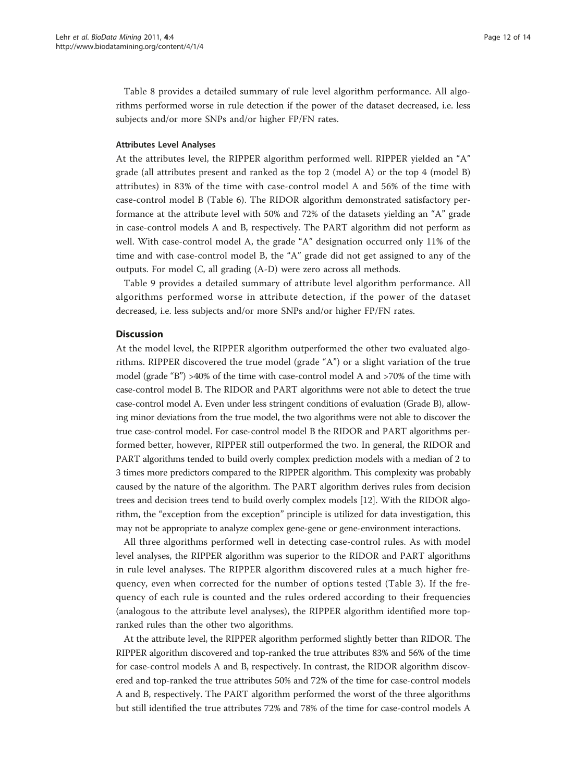Table [8](#page-9-0) provides a detailed summary of rule level algorithm performance. All algorithms performed worse in rule detection if the power of the dataset decreased, i.e. less subjects and/or more SNPs and/or higher FP/FN rates.

# Attributes Level Analyses

At the attributes level, the RIPPER algorithm performed well. RIPPER yielded an "A" grade (all attributes present and ranked as the top 2 (model A) or the top 4 (model B) attributes) in 83% of the time with case-control model A and 56% of the time with case-control model B (Table [6\)](#page-7-0). The RIDOR algorithm demonstrated satisfactory performance at the attribute level with 50% and 72% of the datasets yielding an "A" grade in case-control models A and B, respectively. The PART algorithm did not perform as well. With case-control model A, the grade "A" designation occurred only 11% of the time and with case-control model B, the "A" grade did not get assigned to any of the outputs. For model C, all grading (A-D) were zero across all methods.

Table [9](#page-10-0) provides a detailed summary of attribute level algorithm performance. All algorithms performed worse in attribute detection, if the power of the dataset decreased, i.e. less subjects and/or more SNPs and/or higher FP/FN rates.

# **Discussion**

At the model level, the RIPPER algorithm outperformed the other two evaluated algorithms. RIPPER discovered the true model (grade "A") or a slight variation of the true model (grade "B")  $>40\%$  of the time with case-control model A and  $>70\%$  of the time with case-control model B. The RIDOR and PART algorithms were not able to detect the true case-control model A. Even under less stringent conditions of evaluation (Grade B), allowing minor deviations from the true model, the two algorithms were not able to discover the true case-control model. For case-control model B the RIDOR and PART algorithms performed better, however, RIPPER still outperformed the two. In general, the RIDOR and PART algorithms tended to build overly complex prediction models with a median of 2 to 3 times more predictors compared to the RIPPER algorithm. This complexity was probably caused by the nature of the algorithm. The PART algorithm derives rules from decision trees and decision trees tend to build overly complex models [\[12](#page-13-0)]. With the RIDOR algorithm, the "exception from the exception" principle is utilized for data investigation, this may not be appropriate to analyze complex gene-gene or gene-environment interactions.

All three algorithms performed well in detecting case-control rules. As with model level analyses, the RIPPER algorithm was superior to the RIDOR and PART algorithms in rule level analyses. The RIPPER algorithm discovered rules at a much higher frequency, even when corrected for the number of options tested (Table [3\)](#page-4-0). If the frequency of each rule is counted and the rules ordered according to their frequencies (analogous to the attribute level analyses), the RIPPER algorithm identified more topranked rules than the other two algorithms.

At the attribute level, the RIPPER algorithm performed slightly better than RIDOR. The RIPPER algorithm discovered and top-ranked the true attributes 83% and 56% of the time for case-control models A and B, respectively. In contrast, the RIDOR algorithm discovered and top-ranked the true attributes 50% and 72% of the time for case-control models A and B, respectively. The PART algorithm performed the worst of the three algorithms but still identified the true attributes 72% and 78% of the time for case-control models A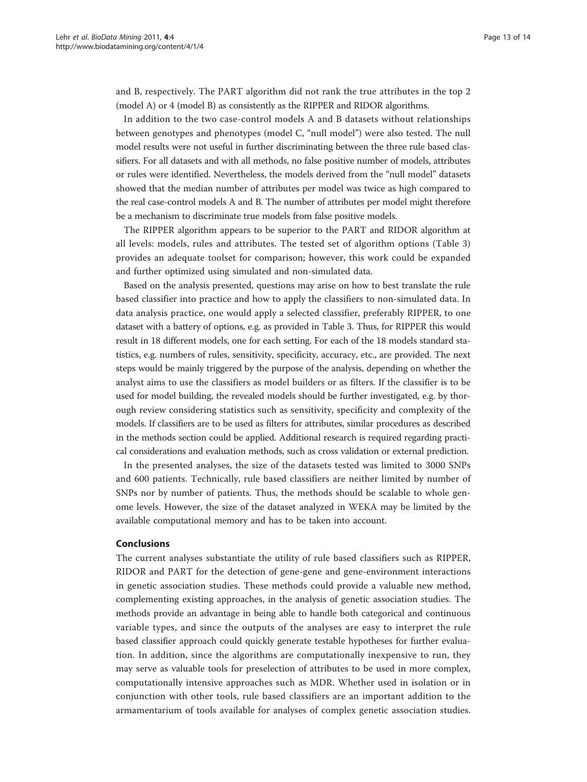and B, respectively. The PART algorithm did not rank the true attributes in the top 2 (model A) or 4 (model B) as consistently as the RIPPER and RIDOR algorithms.

In addition to the two case-control models A and B datasets without relationships between genotypes and phenotypes (model C, "null model") were also tested. The null model results were not useful in further discriminating between the three rule based classifiers. For all datasets and with all methods, no false positive number of models, attributes or rules were identified. Nevertheless, the models derived from the "null model" datasets showed that the median number of attributes per model was twice as high compared to the real case-control models A and B. The number of attributes per model might therefore be a mechanism to discriminate true models from false positive models.

The RIPPER algorithm appears to be superior to the PART and RIDOR algorithm at all levels: models, rules and attributes. The tested set of algorithm options (Table [3](#page-4-0)) provides an adequate toolset for comparison; however, this work could be expanded and further optimized using simulated and non-simulated data.

Based on the analysis presented, questions may arise on how to best translate the rule based classifier into practice and how to apply the classifiers to non-simulated data. In data analysis practice, one would apply a selected classifier, preferably RIPPER, to one dataset with a battery of options, e.g. as provided in Table [3](#page-4-0). Thus, for RIPPER this would result in 18 different models, one for each setting. For each of the 18 models standard statistics, e.g. numbers of rules, sensitivity, specificity, accuracy, etc., are provided. The next steps would be mainly triggered by the purpose of the analysis, depending on whether the analyst aims to use the classifiers as model builders or as filters. If the classifier is to be used for model building, the revealed models should be further investigated, e.g. by thorough review considering statistics such as sensitivity, specificity and complexity of the models. If classifiers are to be used as filters for attributes, similar procedures as described in the methods section could be applied. Additional research is required regarding practical considerations and evaluation methods, such as cross validation or external prediction.

In the presented analyses, the size of the datasets tested was limited to 3000 SNPs and 600 patients. Technically, rule based classifiers are neither limited by number of SNPs nor by number of patients. Thus, the methods should be scalable to whole genome levels. However, the size of the dataset analyzed in WEKA may be limited by the available computational memory and has to be taken into account.

# Conclusions

The current analyses substantiate the utility of rule based classifiers such as RIPPER, RIDOR and PART for the detection of gene-gene and gene-environment interactions in genetic association studies. These methods could provide a valuable new method, complementing existing approaches, in the analysis of genetic association studies. The methods provide an advantage in being able to handle both categorical and continuous variable types, and since the outputs of the analyses are easy to interpret the rule based classifier approach could quickly generate testable hypotheses for further evaluation. In addition, since the algorithms are computationally inexpensive to run, they may serve as valuable tools for preselection of attributes to be used in more complex, computationally intensive approaches such as MDR. Whether used in isolation or in conjunction with other tools, rule based classifiers are an important addition to the armamentarium of tools available for analyses of complex genetic association studies.